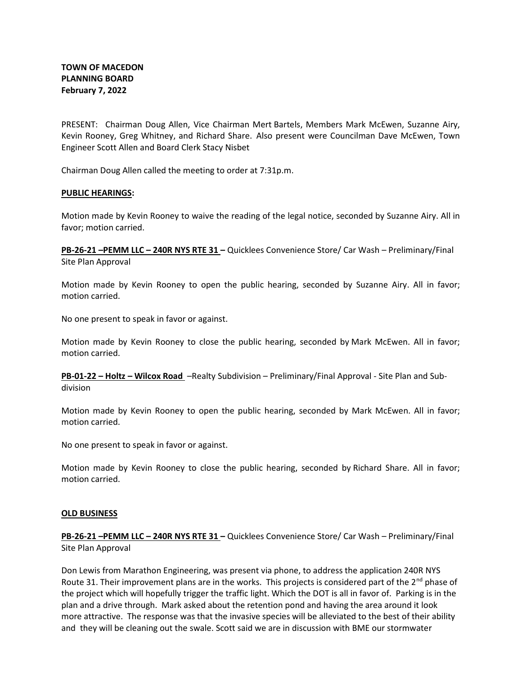PRESENT: Chairman Doug Allen, Vice Chairman Mert Bartels, Members Mark McEwen, Suzanne Airy, Kevin Rooney, Greg Whitney, and Richard Share. Also present were Councilman Dave McEwen, Town Engineer Scott Allen and Board Clerk Stacy Nisbet

Chairman Doug Allen called the meeting to order at 7:31p.m.

## PUBLIC HEARINGS:

Motion made by Kevin Rooney to waive the reading of the legal notice, seconded by Suzanne Airy. All in favor; motion carried.

PB-26-21 –PEMM LLC – 240R NYS RTE 31 – Quicklees Convenience Store/ Car Wash – Preliminary/Final Site Plan Approval

Motion made by Kevin Rooney to open the public hearing, seconded by Suzanne Airy. All in favor; motion carried.

No one present to speak in favor or against.

Motion made by Kevin Rooney to close the public hearing, seconded by Mark McEwen. All in favor; motion carried.

PB-01-22 – Holtz – Wilcox Road –Realty Subdivision – Preliminary/Final Approval - Site Plan and Subdivision

Motion made by Kevin Rooney to open the public hearing, seconded by Mark McEwen. All in favor; motion carried.

No one present to speak in favor or against.

Motion made by Kevin Rooney to close the public hearing, seconded by Richard Share. All in favor; motion carried.

## OLD BUSINESS

PB-26-21 -PEMM LLC - 240R NYS RTE 31 - Quicklees Convenience Store/ Car Wash - Preliminary/Final Site Plan Approval

Don Lewis from Marathon Engineering, was present via phone, to address the application 240R NYS Route 31. Their improvement plans are in the works. This projects is considered part of the  $2<sup>nd</sup>$  phase of the project which will hopefully trigger the traffic light. Which the DOT is all in favor of. Parking is in the plan and a drive through. Mark asked about the retention pond and having the area around it look more attractive. The response was that the invasive species will be alleviated to the best of their ability and they will be cleaning out the swale. Scott said we are in discussion with BME our stormwater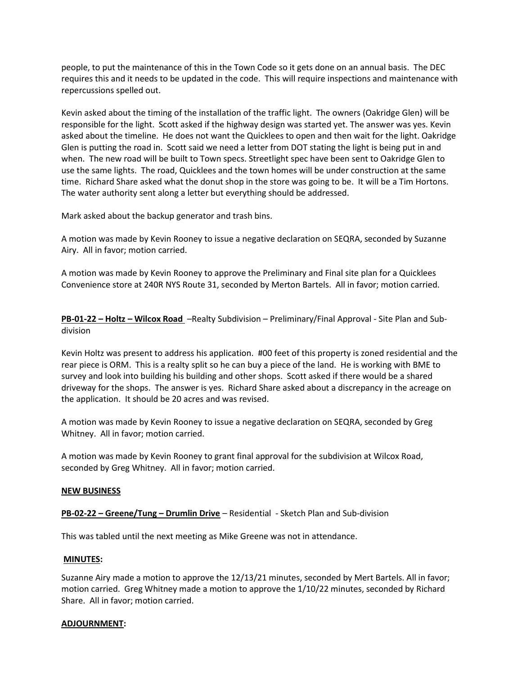people, to put the maintenance of this in the Town Code so it gets done on an annual basis. The DEC requires this and it needs to be updated in the code. This will require inspections and maintenance with repercussions spelled out.

Kevin asked about the timing of the installation of the traffic light. The owners (Oakridge Glen) will be responsible for the light. Scott asked if the highway design was started yet. The answer was yes. Kevin asked about the timeline. He does not want the Quicklees to open and then wait for the light. Oakridge Glen is putting the road in. Scott said we need a letter from DOT stating the light is being put in and when. The new road will be built to Town specs. Streetlight spec have been sent to Oakridge Glen to use the same lights. The road, Quicklees and the town homes will be under construction at the same time. Richard Share asked what the donut shop in the store was going to be. It will be a Tim Hortons. The water authority sent along a letter but everything should be addressed.

Mark asked about the backup generator and trash bins.

A motion was made by Kevin Rooney to issue a negative declaration on SEQRA, seconded by Suzanne Airy. All in favor; motion carried.

A motion was made by Kevin Rooney to approve the Preliminary and Final site plan for a Quicklees Convenience store at 240R NYS Route 31, seconded by Merton Bartels. All in favor; motion carried.

PB-01-22 – Holtz – Wilcox Road –Realty Subdivision – Preliminary/Final Approval - Site Plan and Subdivision

Kevin Holtz was present to address his application. #00 feet of this property is zoned residential and the rear piece is ORM. This is a realty split so he can buy a piece of the land. He is working with BME to survey and look into building his building and other shops. Scott asked if there would be a shared driveway for the shops. The answer is yes. Richard Share asked about a discrepancy in the acreage on the application. It should be 20 acres and was revised.

A motion was made by Kevin Rooney to issue a negative declaration on SEQRA, seconded by Greg Whitney. All in favor; motion carried.

A motion was made by Kevin Rooney to grant final approval for the subdivision at Wilcox Road, seconded by Greg Whitney. All in favor; motion carried.

## NEW BUSINESS

# PB-02-22 – Greene/Tung – Drumlin Drive – Residential - Sketch Plan and Sub-division

This was tabled until the next meeting as Mike Greene was not in attendance.

## MINUTES:

Suzanne Airy made a motion to approve the 12/13/21 minutes, seconded by Mert Bartels. All in favor; motion carried. Greg Whitney made a motion to approve the 1/10/22 minutes, seconded by Richard Share. All in favor; motion carried.

## ADJOURNMENT: